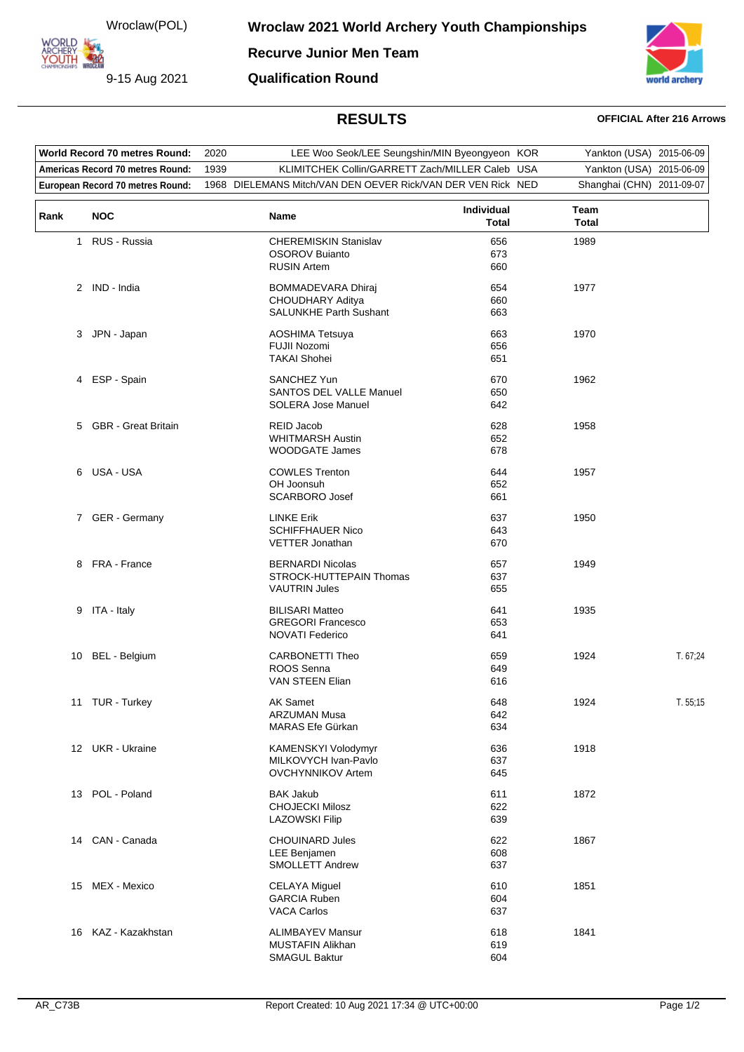Wroclaw(POL)

**ARCHERY<br>YOUTH 422** 

**Recurve Junior Men Team**

**Qualification Round**

9-15 Aug 2021



## **RESULTS OFFICIAL After 216 Arrows**

| World Record 70 metres Round:    |                            | 2020 | LEE Woo Seok/LEE Seungshin/MIN Byeongyeon KOR                                         |                            | Yankton (USA) 2015-06-09  |          |
|----------------------------------|----------------------------|------|---------------------------------------------------------------------------------------|----------------------------|---------------------------|----------|
| Americas Record 70 metres Round: |                            | 1939 | KLIMITCHEK Collin/GARRETT Zach/MILLER Caleb USA                                       |                            | Yankton (USA) 2015-06-09  |          |
| European Record 70 metres Round: |                            |      | 1968 DIELEMANS Mitch/VAN DEN OEVER Rick/VAN DER VEN Rick NED                          |                            | Shanghai (CHN) 2011-09-07 |          |
| Rank                             | <b>NOC</b>                 |      | Name                                                                                  | Individual<br><b>Total</b> | Team<br><b>Total</b>      |          |
| $\mathbf{1}$                     | RUS - Russia               |      | <b>CHEREMISKIN Stanislav</b><br><b>OSOROV Buianto</b><br><b>RUSIN Artem</b>           | 656<br>673<br>660          | 1989                      |          |
|                                  | 2 IND - India              |      | <b>BOMMADEVARA Dhiraj</b><br><b>CHOUDHARY Aditya</b><br><b>SALUNKHE Parth Sushant</b> | 654<br>660<br>663          | 1977                      |          |
|                                  | 3 JPN - Japan              |      | <b>AOSHIMA Tetsuya</b><br>FUJII Nozomi<br><b>TAKAI Shohei</b>                         | 663<br>656<br>651          | 1970                      |          |
| 4                                | ESP - Spain                |      | <b>SANCHEZ Yun</b><br><b>SANTOS DEL VALLE Manuel</b><br><b>SOLERA Jose Manuel</b>     | 670<br>650<br>642          | 1962                      |          |
| 5                                | <b>GBR</b> - Great Britain |      | REID Jacob<br><b>WHITMARSH Austin</b><br><b>WOODGATE James</b>                        | 628<br>652<br>678          | 1958                      |          |
| 6                                | USA - USA                  |      | <b>COWLES Trenton</b><br>OH Joonsuh<br><b>SCARBORO Josef</b>                          | 644<br>652<br>661          | 1957                      |          |
|                                  | 7 GER - Germany            |      | <b>LINKE Erik</b><br><b>SCHIFFHAUER Nico</b><br>VETTER Jonathan                       | 637<br>643<br>670          | 1950                      |          |
|                                  | 8 FRA - France             |      | <b>BERNARDI Nicolas</b><br>STROCK-HUTTEPAIN Thomas<br><b>VAUTRIN Jules</b>            | 657<br>637<br>655          | 1949                      |          |
|                                  | 9 ITA - Italy              |      | <b>BILISARI Matteo</b><br><b>GREGORI Francesco</b><br><b>NOVATI Federico</b>          | 641<br>653<br>641          | 1935                      |          |
| 10                               | <b>BEL</b> - Belgium       |      | <b>CARBONETTI Theo</b><br>ROOS Senna<br>VAN STEEN Elian                               | 659<br>649<br>616          | 1924                      | T. 67,24 |
|                                  | 11 TUR - Turkey            |      | AK Samet<br><b>ARZUMAN Musa</b><br>MARAS Efe Gürkan                                   | 648<br>642<br>634          | 1924                      | T.55;15  |
|                                  | 12 UKR - Ukraine           |      | KAMENSKYI Volodymyr<br>MILKOVYCH Ivan-Pavlo<br><b>OVCHYNNIKOV Artem</b>               | 636<br>637<br>645          | 1918                      |          |
|                                  | 13 POL - Poland            |      | <b>BAK Jakub</b><br><b>CHOJECKI Milosz</b><br><b>LAZOWSKI Filip</b>                   | 611<br>622<br>639          | 1872                      |          |
|                                  | 14 CAN - Canada            |      | <b>CHOUINARD Jules</b><br>LEE Benjamen<br><b>SMOLLETT Andrew</b>                      | 622<br>608<br>637          | 1867                      |          |
|                                  | 15 MEX - Mexico            |      | <b>CELAYA Miguel</b><br><b>GARCIA Ruben</b><br><b>VACA Carlos</b>                     | 610<br>604<br>637          | 1851                      |          |
|                                  | 16 KAZ - Kazakhstan        |      | <b>ALIMBAYEV Mansur</b><br><b>MUSTAFIN Alikhan</b><br><b>SMAGUL Baktur</b>            | 618<br>619<br>604          | 1841                      |          |